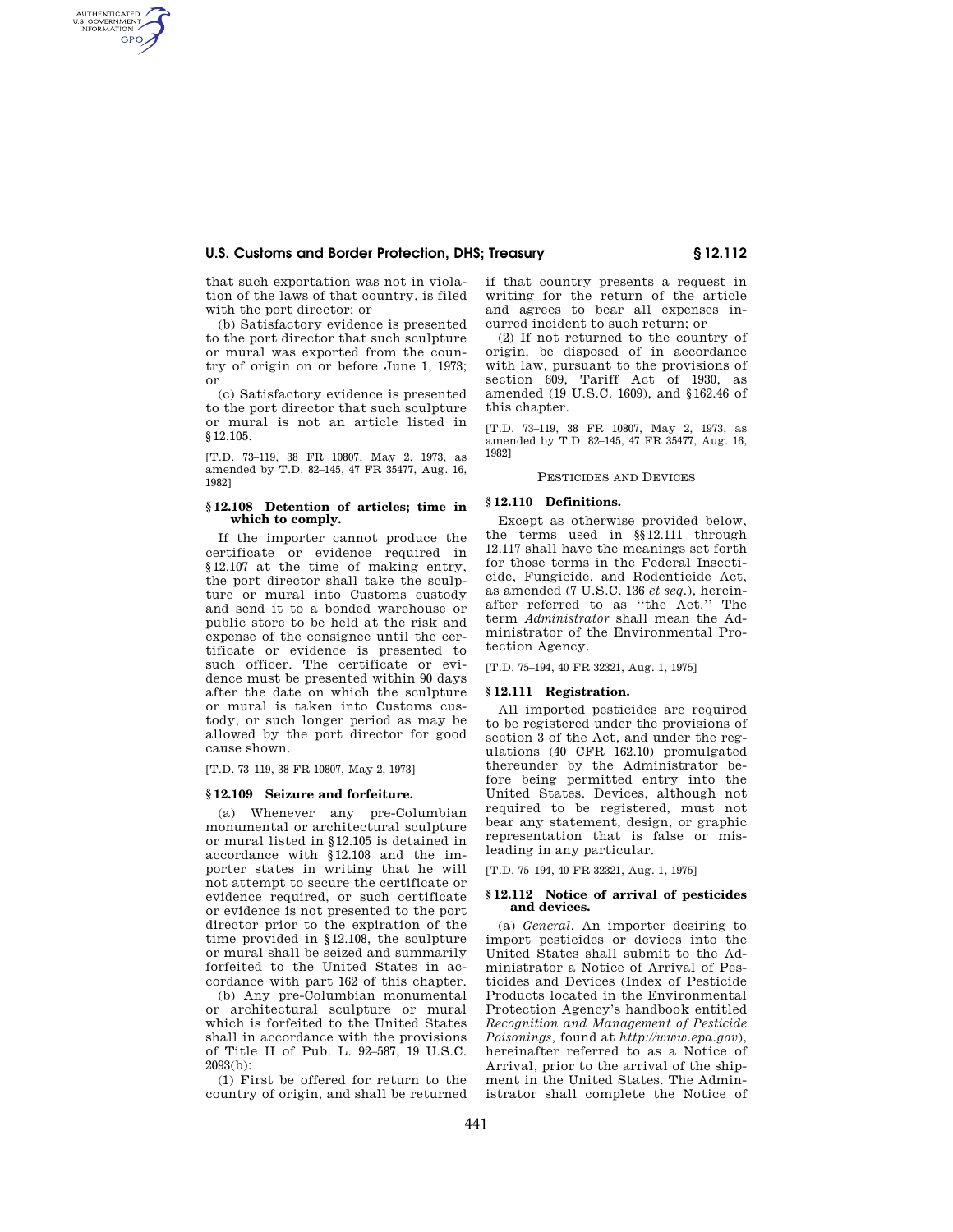# **U.S. Customs and Border Protection, DHS; Treasury § 12.112**

that such exportation was not in violation of the laws of that country, is filed with the port director; or

AUTHENTICATED<br>U.S. GOVERNMENT<br>INFORMATION **GPO** 

> (b) Satisfactory evidence is presented to the port director that such sculpture or mural was exported from the country of origin on or before June 1, 1973; or

> (c) Satisfactory evidence is presented to the port director that such sculpture or mural is not an article listed in §12.105.

> [T.D. 73–119, 38 FR 10807, May 2, 1973, as amended by T.D. 82–145, 47 FR 35477, Aug. 16, 1982]

## **§ 12.108 Detention of articles; time in which to comply.**

If the importer cannot produce the certificate or evidence required in §12.107 at the time of making entry, the port director shall take the sculpture or mural into Customs custody and send it to a bonded warehouse or public store to be held at the risk and expense of the consignee until the certificate or evidence is presented to such officer. The certificate or evidence must be presented within 90 days after the date on which the sculpture or mural is taken into Customs custody, or such longer period as may be allowed by the port director for good cause shown.

[T.D. 73–119, 38 FR 10807, May 2, 1973]

## **§ 12.109 Seizure and forfeiture.**

(a) Whenever any pre-Columbian monumental or architectural sculpture or mural listed in §12.105 is detained in accordance with §12.108 and the importer states in writing that he will not attempt to secure the certificate or evidence required, or such certificate or evidence is not presented to the port director prior to the expiration of the time provided in §12.108, the sculpture or mural shall be seized and summarily forfeited to the United States in accordance with part 162 of this chapter.

(b) Any pre-Columbian monumental or architectural sculpture or mural which is forfeited to the United States shall in accordance with the provisions of Title II of Pub. L. 92–587, 19 U.S.C. 2093(b):

(1) First be offered for return to the country of origin, and shall be returned if that country presents a request in writing for the return of the article and agrees to bear all expenses incurred incident to such return; or

(2) If not returned to the country of origin, be disposed of in accordance with law, pursuant to the provisions of section 609, Tariff Act of 1930, as amended (19 U.S.C. 1609), and §162.46 of this chapter.

[T.D. 73–119, 38 FR 10807, May 2, 1973, as amended by T.D. 82–145, 47 FR 35477, Aug. 16, 1982]

# PESTICIDES AND DEVICES

# **§ 12.110 Definitions.**

Except as otherwise provided below, the terms used in §§12.111 through 12.117 shall have the meanings set forth for those terms in the Federal Insecticide, Fungicide, and Rodenticide Act, as amended (7 U.S.C. 136 *et seq.*), hereinafter referred to as ''the Act.'' The term *Administrator* shall mean the Administrator of the Environmental Protection Agency.

[T.D. 75–194, 40 FR 32321, Aug. 1, 1975]

# **§ 12.111 Registration.**

All imported pesticides are required to be registered under the provisions of section 3 of the Act, and under the regulations (40 CFR 162.10) promulgated thereunder by the Administrator before being permitted entry into the United States. Devices, although not required to be registered, must not bear any statement, design, or graphic representation that is false or misleading in any particular.

[T.D. 75–194, 40 FR 32321, Aug. 1, 1975]

#### **§ 12.112 Notice of arrival of pesticides and devices.**

(a) *General.* An importer desiring to import pesticides or devices into the United States shall submit to the Administrator a Notice of Arrival of Pesticides and Devices (Index of Pesticide Products located in the Environmental Protection Agency's handbook entitled *Recognition and Management of Pesticide Poisonings,* found at *http://www.epa.gov*), hereinafter referred to as a Notice of Arrival, prior to the arrival of the shipment in the United States. The Administrator shall complete the Notice of